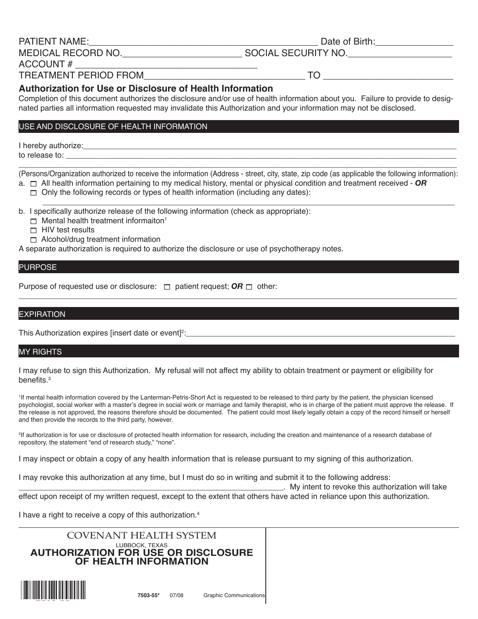PATIENT NAME:\_\_\_\_\_\_\_\_\_\_\_\_\_\_\_\_\_\_\_\_\_\_\_\_\_\_\_\_\_\_\_\_\_\_\_\_\_\_\_\_\_\_\_\_ Date of Birth:\_\_\_\_\_\_\_\_\_\_\_\_\_\_\_

 $T$ O  $-$ 

MEDICAL RECORD NO.\_\_\_\_\_\_\_\_\_\_\_\_\_\_\_\_\_\_\_\_\_\_\_ SOCIAL SECURITY NO.\_\_\_\_\_\_\_\_\_\_\_\_\_\_\_\_\_\_\_\_

ACCOUNT # \_\_\_\_\_\_\_\_\_\_\_\_\_\_\_\_\_\_\_\_\_\_\_\_\_\_\_\_\_\_\_\_\_\_\_

# **Authorization for Use or Disclosure of Health Information**

Completion of this document authorizes the disclosure and/or use of health information about you. Failure to provide to designated parties all information requested may invalidate this Authorization and your information may not be disclosed.

## USE AND DISCLOSURE OF HEALTH INFORMATION

I hereby authorize:  $\blacksquare$ 

to release to: \_\_\_\_\_\_\_\_\_\_\_\_\_\_\_\_\_\_\_\_\_\_\_\_\_\_\_\_\_\_\_\_\_\_\_\_\_\_\_\_\_\_\_\_\_\_\_\_\_\_\_\_\_\_\_\_\_\_\_\_\_\_\_\_\_\_\_\_\_\_\_\_\_\_\_\_\_\_\_\_\_\_\_\_\_\_\_\_\_\_

\_\_\_\_\_\_\_\_\_\_\_\_\_\_\_\_\_\_\_\_\_\_\_\_\_\_\_\_\_\_\_\_\_\_\_\_\_\_\_\_\_\_\_\_\_\_\_\_\_\_\_\_\_\_\_\_\_\_\_\_\_\_\_\_\_\_\_\_\_\_\_\_\_\_\_\_\_\_\_\_\_\_\_\_\_\_\_\_\_\_\_\_\_\_\_\_\_\_\_\_\_ (Persons/Organization authorized to receive the information (Address - street, city, state, zip code (as applicable the following information):

- a.  $\Box$  All health information pertaining to my medical history, mental or physical condition and treatment received **OR** 
	- $\Box$  Only the following records or types of health information (including any dates):
- \_\_\_\_\_\_\_\_\_\_\_\_\_\_\_\_\_\_\_\_\_\_\_\_\_\_\_\_\_\_\_\_\_\_\_\_\_\_\_\_\_\_\_\_\_\_\_\_\_\_\_\_\_\_\_\_\_\_\_\_\_\_\_\_\_\_\_\_\_\_\_\_\_\_\_\_\_\_\_\_\_\_\_\_\_\_\_\_\_\_\_\_\_\_\_ b. I specifically authorize release of the following information (check as appropriate):
	- $\Box$  Mental health treatment informaiton<sup>1</sup>
	- $\Box$  HIV test results
	- $\Box$  Alcohol/drug treatment information

A separate authorization is required to authorize the disclosure or use of psychotherapy notes.

## PURPOSE

Purpose of requested use or disclosure:  $\Box$  patient request; *OR*  $\Box$  other:

## EXPIRATION

This Authorization expires [insert date or event]2 :\_\_\_\_\_\_\_\_\_\_\_\_\_\_\_\_\_\_\_\_\_\_\_\_\_\_\_\_\_\_\_\_\_\_\_\_\_\_\_\_\_\_\_\_\_\_\_\_\_\_\_\_\_\_\_\_\_\_\_\_\_\_

## **MY RIGHTS**

I may refuse to sign this Authorization. My refusal will not affect my ability to obtain treatment or payment or eligibility for benefits.<sup>3</sup>

<sup>1</sup>If mental health information covered by the Lanterman-Petris-Short Act is requested to be released to third party by the patient, the physician licensed psychologist, social worker with a master's degree in social work or marriage and family therapist, who is in charge of the patient must approve the release. If the release is not approved, the reasons therefore should be documented. The patient could most likely legally obtain a copy of the record himself or herself and then provide the records to the third party, however.

\_\_\_\_\_\_\_\_\_\_\_\_\_\_\_\_\_\_\_\_\_\_\_\_\_\_\_\_\_\_\_\_\_\_\_\_\_\_\_\_\_\_\_\_\_\_\_\_\_\_\_\_\_\_\_\_\_\_\_\_\_\_\_\_\_\_\_\_\_\_\_\_\_\_\_\_\_\_\_\_\_\_\_\_\_\_\_\_\_\_\_\_\_\_\_\_\_\_\_\_\_

2 If authorization is for use or disclosure of protected health information for research, including the creation and maintenance of a research database of repository, the statement "end of research study," "none".

I may inspect or obtain a copy of any health information that is release pursuant to my signing of this authorization.

I may revoke this authorization at any time, but I must do so in writing and submit it to the following address:

\_\_\_\_\_\_\_\_\_\_\_\_\_\_\_\_\_\_\_\_\_\_\_\_\_\_\_\_\_\_\_\_\_\_\_\_\_\_\_\_\_\_\_\_\_\_\_\_\_\_\_\_\_\_\_\_\_\_\_\_\_. My intent to revoke this authorization will take effect upon receipt of my written request, except to the extent that others have acted in reliance upon this authorization.

I have a right to receive a copy of this authorization.<sup>4</sup>

### COVENANT HEALTH SYSTEM LUBBOCK, TEXAS **authorization for use or disclosure of health information**